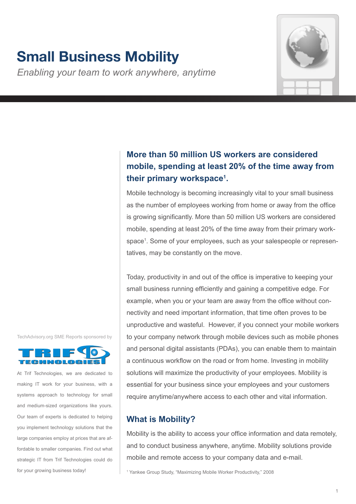# **Small Business Mobility**

*Enabling your team to work anywhere, anytime*



# **More than 50 million US workers are considered mobile, spending at least 20% of the time away from their primary workspace1 .**

Mobile technology is becoming increasingly vital to your small business as the number of employees working from home or away from the office is growing significantly. More than 50 million US workers are considered mobile, spending at least 20% of the time away from their primary workspace1 . Some of your employees, such as your salespeople or representatives, may be constantly on the move.

Today, productivity in and out of the office is imperative to keeping your small business running efficiently and gaining a competitive edge. For example, when you or your team are away from the office without connectivity and need important information, that time often proves to be unproductive and wasteful. However, if you connect your mobile workers to your company network through mobile devices such as mobile phones and personal digital assistants (PDAs), you can enable them to maintain a continuous workflow on the road or from home. Investing in mobility solutions will maximize the productivity of your employees. Mobility is essential for your business since your employees and your customers require anytime/anywhere access to each other and vital information.

# **What is Mobility?**

Mobility is the ability to access your office information and data remotely, and to conduct business anywhere, anytime. Mobility solutions provide mobile and remote access to your company data and e-mail.

1 Yankee Group Study, "Maximizing Mobile Worker Productivity," 2008





At Trif Technologies, we are dedicated to making IT work for your business, with a systems approach to technology for small and medium-sized organizations like yours. Our team of experts is dedicated to helping you implement technology solutions that the large companies employ at prices that are affordable to smaller companies. Find out what strategic IT from Trif Technologies could do for your growing business today!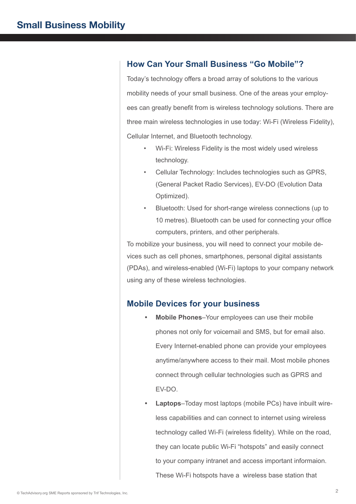### **How Can Your Small Business "Go Mobile"?**

Today's technology offers a broad array of solutions to the various mobility needs of your small business. One of the areas your employees can greatly benefit from is wireless technology solutions. There are three main wireless technologies in use today: Wi-Fi (Wireless Fidelity), Cellular Internet, and Bluetooth technology.

- Wi-Fi: Wireless Fidelity is the most widely used wireless technology.
- Cellular Technology: Includes technologies such as GPRS, (General Packet Radio Services), EV-DO (Evolution Data Optimized).
- Bluetooth: Used for short-range wireless connections (up to 10 metres). Bluetooth can be used for connecting your office computers, printers, and other peripherals.

To mobilize your business, you will need to connect your mobile devices such as cell phones, smartphones, personal digital assistants (PDAs), and wireless-enabled (Wi-Fi) laptops to your company network using any of these wireless technologies.

### **Mobile Devices for your business**

- **Mobile Phones**–Your employees can use their mobile phones not only for voicemail and SMS, but for email also. Every Internet-enabled phone can provide your employees anytime/anywhere access to their mail. Most mobile phones connect through cellular technologies such as GPRS and EV-DO.
- **Laptops**–Today most laptops (mobile PCs) have inbuilt wireless capabilities and can connect to internet using wireless technology called Wi-Fi (wireless fidelity). While on the road, they can locate public Wi-Fi "hotspots" and easily connect to your company intranet and access important informaion. These Wi-Fi hotspots have a wireless base station that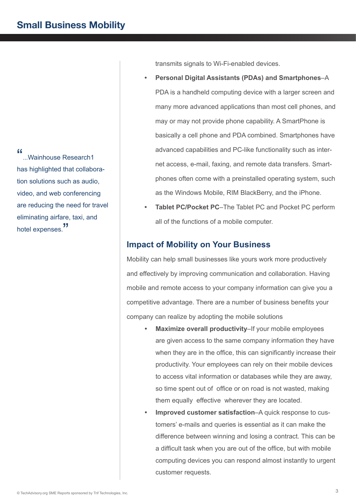"...Wainhouse Research1 has highlighted that collaboration solutions such as audio, video, and web conferencing are reducing the need for travel eliminating airfare, taxi, and hotel expenses.<sup>"</sup>

transmits signals to Wi-Fi-enabled devices.

- **Personal Digital Assistants (PDAs) and Smartphones–A** PDA is a handheld computing device with a larger screen and many more advanced applications than most cell phones, and may or may not provide phone capability. A SmartPhone is basically a cell phone and PDA combined. Smartphones have advanced capabilities and PC-like functionality such as internet access, e-mail, faxing, and remote data transfers. Smartphones often come with a preinstalled operating system, such as the Windows Mobile, RIM BlackBerry, and the iPhone.
- **Tablet PC/Pocket PC–The Tablet PC and Pocket PC perform** all of the functions of a mobile computer.

## **Impact of Mobility on Your Business**

Mobility can help small businesses like yours work more productively and effectively by improving communication and collaboration. Having mobile and remote access to your company information can give you a competitive advantage. There are a number of business benefits your company can realize by adopting the mobile solutions

- **Maximize overall productivity–If your mobile employees** are given access to the same company information they have when they are in the office, this can significantly increase their productivity. Your employees can rely on their mobile devices to access vital information or databases while they are away, so time spent out of office or on road is not wasted, making them equally effective wherever they are located.
- **Improved customer satisfaction–A quick response to cus**tomers' e-mails and queries is essential as it can make the difference between winning and losing a contract. This can be a difficult task when you are out of the office, but with mobile computing devices you can respond almost instantly to urgent customer requests.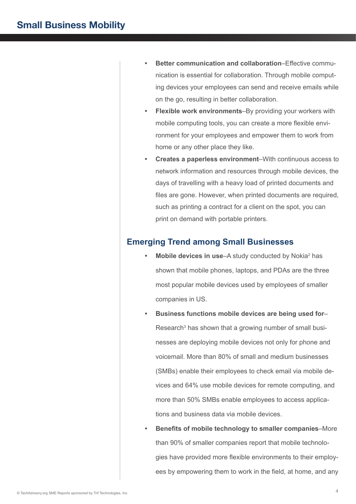- **Better communication and collaboration–Effective commu**nication is essential for collaboration. Through mobile computing devices your employees can send and receive emails while on the go, resulting in better collaboration.
- **Flexible work environments–By providing your workers with** mobile computing tools, you can create a more flexible environment for your employees and empower them to work from home or any other place they like.
- **Creates a paperless environment–With continuous access to** network information and resources through mobile devices, the days of travelling with a heavy load of printed documents and files are gone. However, when printed documents are required, such as printing a contract for a client on the spot, you can print on demand with portable printers.

### **Emerging Trend among Small Businesses**

- Mobile devices in use–A study conducted by Nokia<sup>2</sup> has shown that mobile phones, laptops, and PDAs are the three most popular mobile devices used by employees of smaller companies in US.
- **Business functions mobile devices are being used for–** Research<sup>3</sup> has shown that a growing number of small businesses are deploying mobile devices not only for phone and voicemail. More than 80% of small and medium businesses (SMBs) enable their employees to check email via mobile devices and 64% use mobile devices for remote computing, and more than 50% SMBs enable employees to access applications and business data via mobile devices.
- **• Benefits of mobile technology to smaller companies**–More than 90% of smaller companies report that mobile technologies have provided more flexible environments to their employees by empowering them to work in the field, at home, and any